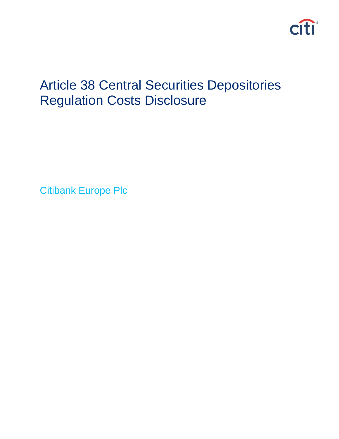

# Article 38 Central Securities Depositories Regulation Costs Disclosure

Citibank Europe Plc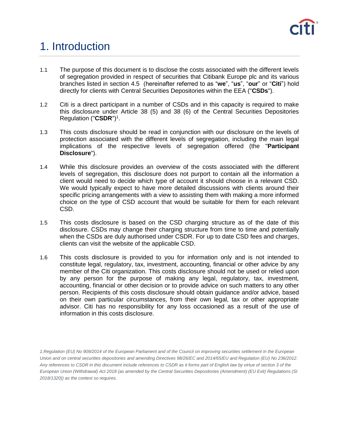

# 1. Introduction

- 1.1 The purpose of this document is to disclose the costs associated with the different levels of segregation provided in respect of securities that Citibank Europe plc and its various branches listed in section 4.5 (hereinafter referred to as "**we**", "**us**", "**our**" or "**Citi**") hold directly for clients with Central Securities Depositories within the EEA ("**CSDs**").
- 1.2 Citi is a direct participant in a number of CSDs and in this capacity is required to make this disclosure under Article 38 (5) and 38 (6) of the Central Securities Depositories Regulation ("**CSDR**") 1 .
- 1.3 This costs disclosure should be read in conjunction with our disclosure on the levels of protection associated with the different levels of segregation, including the main legal implications of the respective levels of segregation offered (the "**Participant Disclosure**").
- 1.4 While this disclosure provides an overview of the costs associated with the different levels of segregation, this disclosure does not purport to contain all the information a client would need to decide which type of account it should choose in a relevant CSD. We would typically expect to have more detailed discussions with clients around their specific pricing arrangements with a view to assisting them with making a more informed choice on the type of CSD account that would be suitable for them for each relevant CSD.
- 1.5 This costs disclosure is based on the CSD charging structure as of the date of this disclosure. CSDs may change their charging structure from time to time and potentially when the CSDs are duly authorised under CSDR. For up to date CSD fees and charges, clients can visit the website of the applicable CSD.
- 1.6 This costs disclosure is provided to you for information only and is not intended to constitute legal, regulatory, tax, investment, accounting, financial or other advice by any member of the Citi organization. This costs disclosure should not be used or relied upon by any person for the purpose of making any legal, regulatory, tax, investment, accounting, financial or other decision or to provide advice on such matters to any other person. Recipients of this costs disclosure should obtain guidance and/or advice, based on their own particular circumstances, from their own legal, tax or other appropriate advisor. Citi has no responsibility for any loss occasioned as a result of the use of information in this costs disclosure.

*<sup>1.</sup>Regulation (EU) No 909/2014 of the European Parliament and of the Council on improving securities settlement in the European Union and on central securities depositories and amending Directives 98/26/EC and 2014/65/EU and Regulation (EU) No 236/2012. Any references to CSDR in this document include references to CSDR as it forms part of English law by virtue of section 3 of the European Union (Withdrawal) Act 2018 (as amended by the Central Securities Depositories (Amendment) (EU Exit) Regulations (SI 2018/1320)) as the context so requires.*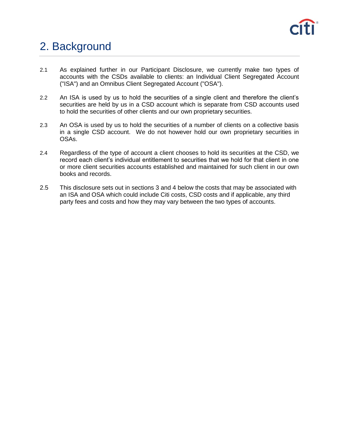

# 2. Background

- 2.1 As explained further in our Participant Disclosure, we currently make two types of accounts with the CSDs available to clients: an Individual Client Segregated Account ("ISA") and an Omnibus Client Segregated Account ("OSA").
- 2.2 An ISA is used by us to hold the securities of a single client and therefore the client's securities are held by us in a CSD account which is separate from CSD accounts used to hold the securities of other clients and our own proprietary securities.
- 2.3 An OSA is used by us to hold the securities of a number of clients on a collective basis in a single CSD account. We do not however hold our own proprietary securities in OSAs.
- 2.4 Regardless of the type of account a client chooses to hold its securities at the CSD, we record each client's individual entitlement to securities that we hold for that client in one or more client securities accounts established and maintained for such client in our own books and records.
- 2.5 This disclosure sets out in sections 3 and 4 below the costs that may be associated with an ISA and OSA which could include Citi costs, CSD costs and if applicable, any third party fees and costs and how they may vary between the two types of accounts.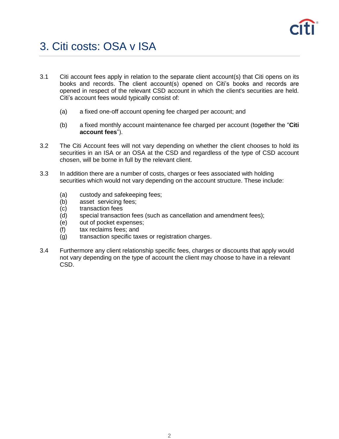

# 3. Citi costs: OSA v ISA

- 3.1 Citi account fees apply in relation to the separate client account(s) that Citi opens on its books and records. The client account(s) opened on Citi's books and records are opened in respect of the relevant CSD account in which the client's securities are held. Citi's account fees would typically consist of:
	- (a) a fixed one-off account opening fee charged per account; and
	- (b) a fixed monthly account maintenance fee charged per account (together the "**Citi account fees**").
- 3.2 The Citi Account fees will not vary depending on whether the client chooses to hold its securities in an ISA or an OSA at the CSD and regardless of the type of CSD account chosen, will be borne in full by the relevant client.
- 3.3 In addition there are a number of costs, charges or fees associated with holding securities which would not vary depending on the account structure. These include:
	- (a) custody and safekeeping fees;
	- (b) asset servicing fees;
	- (c) transaction fees
	- (d) special transaction fees (such as cancellation and amendment fees);
	- (e) out of pocket expenses;
	- (f) tax reclaims fees; and
	- (g) transaction specific taxes or registration charges.
- 3.4 Furthermore any client relationship specific fees, charges or discounts that apply would not vary depending on the type of account the client may choose to have in a relevant CSD.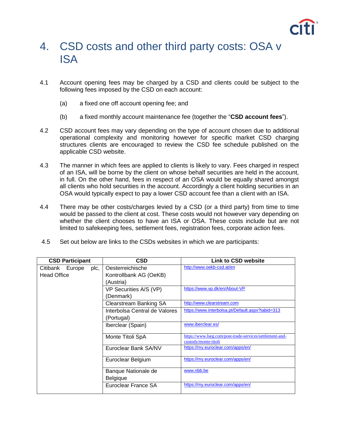

#### 4. CSD costs and other third party costs: OSA v ISA

- 4.1 Account opening fees may be charged by a CSD and clients could be subject to the following fees imposed by the CSD on each account:
	- (a) a fixed one off account opening fee; and
	- (b) a fixed monthly account maintenance fee (together the "**CSD account fees**").
- 4.2 CSD account fees may vary depending on the type of account chosen due to additional operational complexity and monitoring however for specific market CSD charging structures clients are encouraged to review the CSD fee schedule published on the applicable CSD website.
- 4.3 The manner in which fees are applied to clients is likely to vary. Fees charged in respect of an ISA, will be borne by the client on whose behalf securities are held in the account, in full. On the other hand, fees in respect of an OSA would be equally shared amongst all clients who hold securities in the account. Accordingly a client holding securities in an OSA would typically expect to pay a lower CSD account fee than a client with an ISA.
- 4.4 There may be other costs/charges levied by a CSD (or a third party) from time to time would be passed to the client at cost. These costs would not however vary depending on whether the client chooses to have an ISA or OSA. These costs include but are not limited to safekeeping fees, settlement fees, registration fees, corporate action fees.
- 4.5 Set out below are links to the CSDs websites in which we are participants:

| <b>CSD Participant</b> |  |      | CSD                           | Link to CSD website                                      |
|------------------------|--|------|-------------------------------|----------------------------------------------------------|
| Citibank Europe        |  | plc, | Oesterreichische              | http://www.oekb-csd.at/en                                |
| <b>Head Office</b>     |  |      | Kontrollbank AG (OeKB)        |                                                          |
|                        |  |      | (Austria)                     |                                                          |
|                        |  |      | VP Securities A/S (VP)        | https://www.vp.dk/en/About-VP                            |
|                        |  |      | (Denmark)                     |                                                          |
|                        |  |      | <b>Clearstream Banking SA</b> | http://www.clearstream.com                               |
|                        |  |      | Interbolsa Central de Valores | https://www.interbolsa.pt/Default.aspx?tabid=313         |
|                        |  |      | (Portugal)                    |                                                          |
|                        |  |      | Iberclear (Spain)             | www.iberclear.es/                                        |
|                        |  |      | Monte Titoli SpA              | https://www.lseg.com/post-trade-services/settlement-and- |
|                        |  |      |                               | custody/monte-titoli                                     |
|                        |  |      | Euroclear Bank SA/NV          | https://my.euroclear.com/apps/en/                        |
|                        |  |      | Euroclear Belgium             | https://my.euroclear.com/apps/en/                        |
|                        |  |      | Banque Nationale de           | www.nbb.be                                               |
|                        |  |      | Belgique                      |                                                          |
|                        |  |      | Euroclear France SA           | https://my.euroclear.com/apps/en/                        |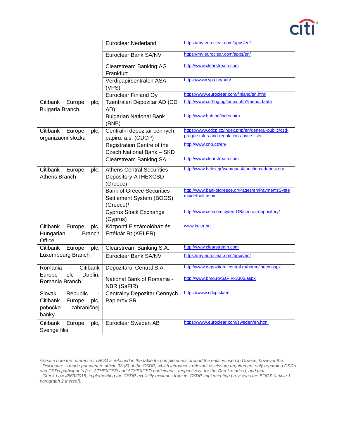

| https://my.euroclear.com/apps/en/<br><b>Euroclear Nederland</b><br>https://my.euroclear.com/apps/en/<br>Euroclear Bank SA/NV<br>http://www.clearstream.com<br><b>Clearstream Banking AG</b><br>Frankfurt<br>https://www.vps.no/pub/<br>Verdipapirsentralen ASA<br>(VPS)<br>https://www.euroclear.com/finland/en.html<br><b>Euroclear Finland Oy</b><br>http://www.csd-bg.bg/index.php?menu=tarifa<br>Tzentralen Depozitar AD (CD<br>Citibank<br>Europe<br>plc,<br><b>Bulgaria Branch</b><br>AD)<br>http://www.bnb.bg/index.htm<br><b>Bulgarian National Bank</b><br>(BNB)<br>https://www.cdcp.cz/index.php/en/general-public/csd-<br>Citibank<br>Centralni depozitar cennych<br>Europe<br>plc,<br>prague-rules-and-regulations-price-lists<br>organizační složka<br>papiru, a.s. (CDCP)<br>http://www.cnb.cz/en/<br>Registration Centre of the<br>Czech National Bank - SKD<br>http://www.clearstream.com<br><b>Clearstream Banking SA</b> |  |  |
|--------------------------------------------------------------------------------------------------------------------------------------------------------------------------------------------------------------------------------------------------------------------------------------------------------------------------------------------------------------------------------------------------------------------------------------------------------------------------------------------------------------------------------------------------------------------------------------------------------------------------------------------------------------------------------------------------------------------------------------------------------------------------------------------------------------------------------------------------------------------------------------------------------------------------------------------|--|--|
|                                                                                                                                                                                                                                                                                                                                                                                                                                                                                                                                                                                                                                                                                                                                                                                                                                                                                                                                            |  |  |
|                                                                                                                                                                                                                                                                                                                                                                                                                                                                                                                                                                                                                                                                                                                                                                                                                                                                                                                                            |  |  |
|                                                                                                                                                                                                                                                                                                                                                                                                                                                                                                                                                                                                                                                                                                                                                                                                                                                                                                                                            |  |  |
|                                                                                                                                                                                                                                                                                                                                                                                                                                                                                                                                                                                                                                                                                                                                                                                                                                                                                                                                            |  |  |
|                                                                                                                                                                                                                                                                                                                                                                                                                                                                                                                                                                                                                                                                                                                                                                                                                                                                                                                                            |  |  |
|                                                                                                                                                                                                                                                                                                                                                                                                                                                                                                                                                                                                                                                                                                                                                                                                                                                                                                                                            |  |  |
|                                                                                                                                                                                                                                                                                                                                                                                                                                                                                                                                                                                                                                                                                                                                                                                                                                                                                                                                            |  |  |
|                                                                                                                                                                                                                                                                                                                                                                                                                                                                                                                                                                                                                                                                                                                                                                                                                                                                                                                                            |  |  |
|                                                                                                                                                                                                                                                                                                                                                                                                                                                                                                                                                                                                                                                                                                                                                                                                                                                                                                                                            |  |  |
|                                                                                                                                                                                                                                                                                                                                                                                                                                                                                                                                                                                                                                                                                                                                                                                                                                                                                                                                            |  |  |
|                                                                                                                                                                                                                                                                                                                                                                                                                                                                                                                                                                                                                                                                                                                                                                                                                                                                                                                                            |  |  |
|                                                                                                                                                                                                                                                                                                                                                                                                                                                                                                                                                                                                                                                                                                                                                                                                                                                                                                                                            |  |  |
|                                                                                                                                                                                                                                                                                                                                                                                                                                                                                                                                                                                                                                                                                                                                                                                                                                                                                                                                            |  |  |
|                                                                                                                                                                                                                                                                                                                                                                                                                                                                                                                                                                                                                                                                                                                                                                                                                                                                                                                                            |  |  |
|                                                                                                                                                                                                                                                                                                                                                                                                                                                                                                                                                                                                                                                                                                                                                                                                                                                                                                                                            |  |  |
|                                                                                                                                                                                                                                                                                                                                                                                                                                                                                                                                                                                                                                                                                                                                                                                                                                                                                                                                            |  |  |
|                                                                                                                                                                                                                                                                                                                                                                                                                                                                                                                                                                                                                                                                                                                                                                                                                                                                                                                                            |  |  |
| http://www.helex.gr/web/guest/functions-depository<br><b>Athens Central Securities</b><br>Citibank<br>Europe<br>plc,                                                                                                                                                                                                                                                                                                                                                                                                                                                                                                                                                                                                                                                                                                                                                                                                                       |  |  |
| <b>Athens Branch</b><br>Depository-ATHEXCSD                                                                                                                                                                                                                                                                                                                                                                                                                                                                                                                                                                                                                                                                                                                                                                                                                                                                                                |  |  |
| (Greece)                                                                                                                                                                                                                                                                                                                                                                                                                                                                                                                                                                                                                                                                                                                                                                                                                                                                                                                                   |  |  |
| http://www.bankofgreece.gr/Pages/en/PaymentsSyste<br><b>Bank of Greece Securities</b>                                                                                                                                                                                                                                                                                                                                                                                                                                                                                                                                                                                                                                                                                                                                                                                                                                                      |  |  |
| ms/default.aspx<br>Settlement System (BOGS)                                                                                                                                                                                                                                                                                                                                                                                                                                                                                                                                                                                                                                                                                                                                                                                                                                                                                                |  |  |
| (Greece) <sup>1</sup>                                                                                                                                                                                                                                                                                                                                                                                                                                                                                                                                                                                                                                                                                                                                                                                                                                                                                                                      |  |  |
| http://www.cse.com.cy/en-GB/central-depository/<br>Cyprus Stock Exchange                                                                                                                                                                                                                                                                                                                                                                                                                                                                                                                                                                                                                                                                                                                                                                                                                                                                   |  |  |
| (Cyprus)                                                                                                                                                                                                                                                                                                                                                                                                                                                                                                                                                                                                                                                                                                                                                                                                                                                                                                                                   |  |  |
| Központi Elszámolóház és<br>www.keler.hu<br>Citibank<br>Europe<br>plc,                                                                                                                                                                                                                                                                                                                                                                                                                                                                                                                                                                                                                                                                                                                                                                                                                                                                     |  |  |
| Értéktár Rt (KELER)<br>Hungarian<br><b>Branch</b>                                                                                                                                                                                                                                                                                                                                                                                                                                                                                                                                                                                                                                                                                                                                                                                                                                                                                          |  |  |
| Office                                                                                                                                                                                                                                                                                                                                                                                                                                                                                                                                                                                                                                                                                                                                                                                                                                                                                                                                     |  |  |
| http://www.clearstream.com<br>Citibank<br>Clearstream Banking S.A.<br>Europe<br>plc,                                                                                                                                                                                                                                                                                                                                                                                                                                                                                                                                                                                                                                                                                                                                                                                                                                                       |  |  |
| Luxembourg Branch<br>https://my.euroclear.com/apps/en/<br>Euroclear Bank SA/NV                                                                                                                                                                                                                                                                                                                                                                                                                                                                                                                                                                                                                                                                                                                                                                                                                                                             |  |  |
|                                                                                                                                                                                                                                                                                                                                                                                                                                                                                                                                                                                                                                                                                                                                                                                                                                                                                                                                            |  |  |
| http://www.depozitarulcentral.ro/home/index.aspx<br>Citibank<br>Romania<br>Depozitarul Central S.A.<br>$\equiv$                                                                                                                                                                                                                                                                                                                                                                                                                                                                                                                                                                                                                                                                                                                                                                                                                            |  |  |
| Dublin,<br>Europe<br>plc                                                                                                                                                                                                                                                                                                                                                                                                                                                                                                                                                                                                                                                                                                                                                                                                                                                                                                                   |  |  |
| National Bank of Romania -<br>http://www.bnro.ro/SaFIR-3306.aspx<br>Romania Branch                                                                                                                                                                                                                                                                                                                                                                                                                                                                                                                                                                                                                                                                                                                                                                                                                                                         |  |  |
| NBR (SaFIR)                                                                                                                                                                                                                                                                                                                                                                                                                                                                                                                                                                                                                                                                                                                                                                                                                                                                                                                                |  |  |
| https://www.cdcp.sk/en<br>Slovak<br>Republic<br>Centralny Depozitar Cennych                                                                                                                                                                                                                                                                                                                                                                                                                                                                                                                                                                                                                                                                                                                                                                                                                                                                |  |  |
| Citibank<br>Europe<br>Papierov SR<br>plc,                                                                                                                                                                                                                                                                                                                                                                                                                                                                                                                                                                                                                                                                                                                                                                                                                                                                                                  |  |  |
| zahraničnej<br>pobočka                                                                                                                                                                                                                                                                                                                                                                                                                                                                                                                                                                                                                                                                                                                                                                                                                                                                                                                     |  |  |
| banky                                                                                                                                                                                                                                                                                                                                                                                                                                                                                                                                                                                                                                                                                                                                                                                                                                                                                                                                      |  |  |
| Citibank<br>https://www.euroclear.com/sweden/en.html<br>Euroclear Sweden AB<br>Europe<br>plc,                                                                                                                                                                                                                                                                                                                                                                                                                                                                                                                                                                                                                                                                                                                                                                                                                                              |  |  |
| Sverige filial                                                                                                                                                                                                                                                                                                                                                                                                                                                                                                                                                                                                                                                                                                                                                                                                                                                                                                                             |  |  |

*<sup>1</sup>Please note the reference to BOG is retained in the table for completeness around the entities used in Greece, however the: - Disclosure is made pursuant to article 38 (6) of the CSDR, which introduces relevant disclosure requirement only regarding CSDs and CSDs participants (i.e. ATHEXCSD and ATHEXCSD participants, respectively, for the Greek market), and that - Greek Law 4569/2018, implementing the CSDR explicitly excludes from its CSDR implementing provisions the BOGS (article 1 paragraph 2 thereof).*